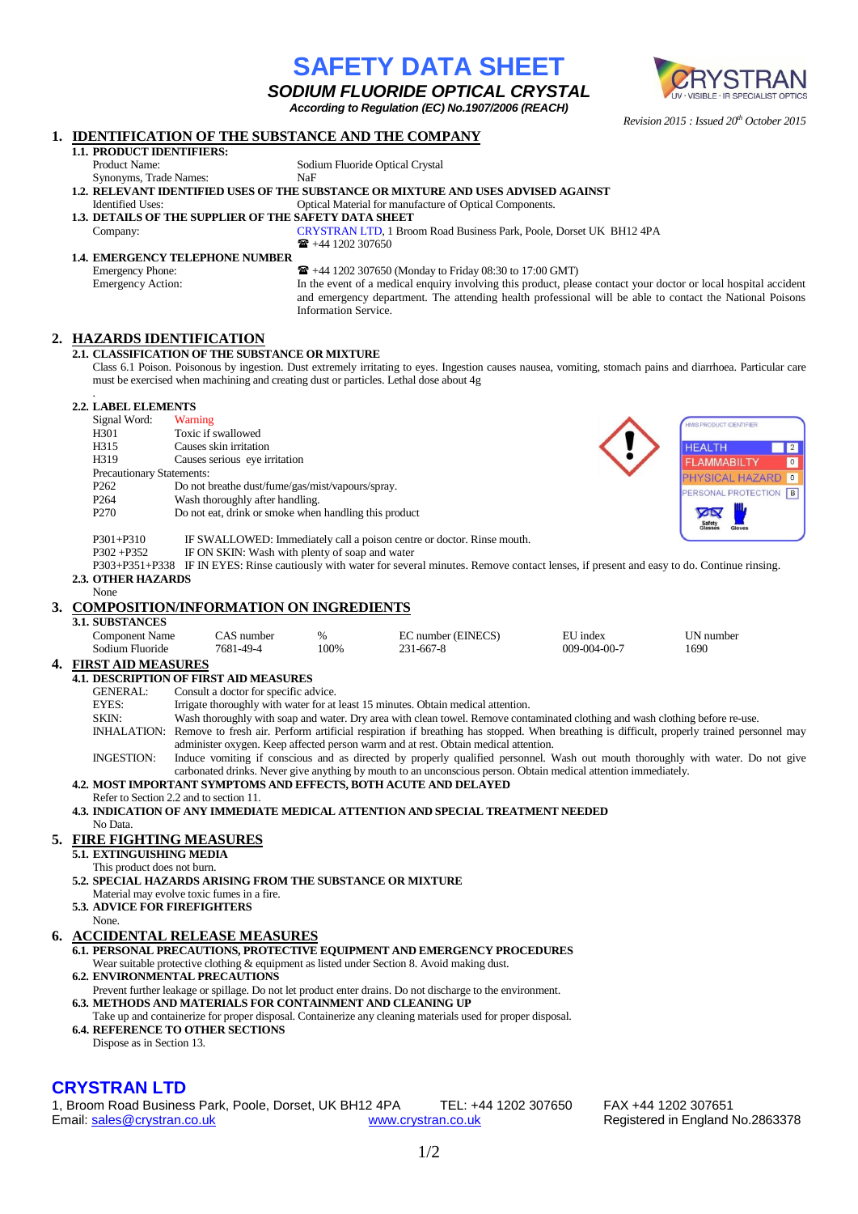|                                                                                                                                                        |                                                                                                                                                                                                                                                    |                                                                                                                                                                                                                    |                                                                                     |                                 | <b>SODIUM FLUORIDE OPTICAL CRYSTAL</b>                                                                                                          |              | UV · VISIBLE · IR SPECIALIST OPTICS                                                                             |  |
|--------------------------------------------------------------------------------------------------------------------------------------------------------|----------------------------------------------------------------------------------------------------------------------------------------------------------------------------------------------------------------------------------------------------|--------------------------------------------------------------------------------------------------------------------------------------------------------------------------------------------------------------------|-------------------------------------------------------------------------------------|---------------------------------|-------------------------------------------------------------------------------------------------------------------------------------------------|--------------|-----------------------------------------------------------------------------------------------------------------|--|
|                                                                                                                                                        |                                                                                                                                                                                                                                                    |                                                                                                                                                                                                                    |                                                                                     |                                 | According to Regulation (EC) No.1907/2006 (REACH)                                                                                               |              | Revision 2015 : Issued 20 <sup>th</sup> October 2015                                                            |  |
| 1.                                                                                                                                                     |                                                                                                                                                                                                                                                    | <b>IDENTIFICATION OF THE SUBSTANCE AND THE COMPANY</b>                                                                                                                                                             |                                                                                     |                                 |                                                                                                                                                 |              |                                                                                                                 |  |
|                                                                                                                                                        | 1.1. PRODUCT IDENTIFIERS:<br>Product Name:                                                                                                                                                                                                         |                                                                                                                                                                                                                    |                                                                                     | Sodium Fluoride Optical Crystal |                                                                                                                                                 |              |                                                                                                                 |  |
|                                                                                                                                                        | NaF<br>Synonyms, Trade Names:                                                                                                                                                                                                                      |                                                                                                                                                                                                                    |                                                                                     |                                 |                                                                                                                                                 |              |                                                                                                                 |  |
|                                                                                                                                                        | 1.2. RELEVANT IDENTIFIED USES OF THE SUBSTANCE OR MIXTURE AND USES ADVISED AGAINST<br><b>Identified Uses:</b><br>Optical Material for manufacture of Optical Components.                                                                           |                                                                                                                                                                                                                    |                                                                                     |                                 |                                                                                                                                                 |              |                                                                                                                 |  |
|                                                                                                                                                        | <b>1.3. DETAILS OF THE SUPPLIER OF THE SAFETY DATA SHEET</b>                                                                                                                                                                                       |                                                                                                                                                                                                                    |                                                                                     |                                 |                                                                                                                                                 |              |                                                                                                                 |  |
|                                                                                                                                                        | Company:                                                                                                                                                                                                                                           |                                                                                                                                                                                                                    |                                                                                     | $\mathbf{R}$ +44 1202 307650    | CRYSTRAN LTD, 1 Broom Road Business Park, Poole, Dorset UK BH12 4PA                                                                             |              |                                                                                                                 |  |
|                                                                                                                                                        | 1.4. EMERGENCY TELEPHONE NUMBER                                                                                                                                                                                                                    |                                                                                                                                                                                                                    |                                                                                     |                                 |                                                                                                                                                 |              |                                                                                                                 |  |
|                                                                                                                                                        | <b>Emergency Phone:</b><br><b>Emergency Action:</b>                                                                                                                                                                                                |                                                                                                                                                                                                                    |                                                                                     |                                 | <b>■</b> +44 1202 307650 (Monday to Friday 08:30 to 17:00 GMT)                                                                                  |              | In the event of a medical enquiry involving this product, please contact your doctor or local hospital accident |  |
|                                                                                                                                                        |                                                                                                                                                                                                                                                    |                                                                                                                                                                                                                    |                                                                                     |                                 |                                                                                                                                                 |              | and emergency department. The attending health professional will be able to contact the National Poisons        |  |
|                                                                                                                                                        |                                                                                                                                                                                                                                                    |                                                                                                                                                                                                                    |                                                                                     | Information Service.            |                                                                                                                                                 |              |                                                                                                                 |  |
| 2.                                                                                                                                                     | <b>HAZARDS IDENTIFICATION</b>                                                                                                                                                                                                                      |                                                                                                                                                                                                                    |                                                                                     |                                 |                                                                                                                                                 |              |                                                                                                                 |  |
|                                                                                                                                                        | 2.1. CLASSIFICATION OF THE SUBSTANCE OR MIXTURE<br>Class 6.1 Poison. Poisonous by ingestion. Dust extremely irritating to eyes. Ingestion causes nausea, vomiting, stomach pains and diarrhoea. Particular care                                    |                                                                                                                                                                                                                    |                                                                                     |                                 |                                                                                                                                                 |              |                                                                                                                 |  |
|                                                                                                                                                        | must be exercised when machining and creating dust or particles. Lethal dose about 4g                                                                                                                                                              |                                                                                                                                                                                                                    |                                                                                     |                                 |                                                                                                                                                 |              |                                                                                                                 |  |
|                                                                                                                                                        |                                                                                                                                                                                                                                                    |                                                                                                                                                                                                                    |                                                                                     |                                 |                                                                                                                                                 |              |                                                                                                                 |  |
|                                                                                                                                                        | <b>2.2. LABEL ELEMENTS</b><br>Signal Word:                                                                                                                                                                                                         | Warning                                                                                                                                                                                                            |                                                                                     |                                 |                                                                                                                                                 |              | HMIS PRODUCT IDENTIFIER                                                                                         |  |
|                                                                                                                                                        | H301                                                                                                                                                                                                                                               |                                                                                                                                                                                                                    | Toxic if swallowed                                                                  |                                 |                                                                                                                                                 |              |                                                                                                                 |  |
|                                                                                                                                                        | H315<br>H319                                                                                                                                                                                                                                       |                                                                                                                                                                                                                    | Causes skin irritation<br>Causes serious eye irritation                             |                                 |                                                                                                                                                 |              | 2 <br><b>HEALTH</b><br>$\boxed{0}$<br><b>FLAMMABILTY</b>                                                        |  |
|                                                                                                                                                        | Precautionary Statements:                                                                                                                                                                                                                          |                                                                                                                                                                                                                    |                                                                                     |                                 |                                                                                                                                                 |              | PHYSICAL HAZARD 0                                                                                               |  |
|                                                                                                                                                        | P <sub>262</sub><br>P <sub>264</sub>                                                                                                                                                                                                               |                                                                                                                                                                                                                    | Do not breathe dust/fume/gas/mist/vapours/spray.<br>Wash thoroughly after handling. |                                 |                                                                                                                                                 |              | PERSONAL PROTECTION B                                                                                           |  |
|                                                                                                                                                        | P <sub>270</sub>                                                                                                                                                                                                                                   |                                                                                                                                                                                                                    | Do not eat, drink or smoke when handling this product                               |                                 |                                                                                                                                                 |              | <b>YON</b>                                                                                                      |  |
|                                                                                                                                                        | P301+P310                                                                                                                                                                                                                                          |                                                                                                                                                                                                                    |                                                                                     |                                 |                                                                                                                                                 |              |                                                                                                                 |  |
|                                                                                                                                                        | IF SWALLOWED: Immediately call a poison centre or doctor. Rinse mouth.<br>IF ON SKIN: Wash with plenty of soap and water<br>$P302 + P352$                                                                                                          |                                                                                                                                                                                                                    |                                                                                     |                                 |                                                                                                                                                 |              |                                                                                                                 |  |
|                                                                                                                                                        | <b>2.3. OTHER HAZARDS</b>                                                                                                                                                                                                                          |                                                                                                                                                                                                                    |                                                                                     |                                 | P303+P351+P338 IF IN EYES: Rinse cautiously with water for several minutes. Remove contact lenses, if present and easy to do. Continue rinsing. |              |                                                                                                                 |  |
|                                                                                                                                                        | None                                                                                                                                                                                                                                               |                                                                                                                                                                                                                    |                                                                                     |                                 |                                                                                                                                                 |              |                                                                                                                 |  |
| 3.                                                                                                                                                     | <b>COMPOSITION/INFORMATION ON INGREDIENTS</b><br>3.1. SUBSTANCES                                                                                                                                                                                   |                                                                                                                                                                                                                    |                                                                                     |                                 |                                                                                                                                                 |              |                                                                                                                 |  |
|                                                                                                                                                        | <b>Component Name</b>                                                                                                                                                                                                                              |                                                                                                                                                                                                                    | CAS number                                                                          | %                               | EC number (EINECS)                                                                                                                              | EU index     | UN number                                                                                                       |  |
|                                                                                                                                                        | Sodium Fluoride                                                                                                                                                                                                                                    |                                                                                                                                                                                                                    | 7681-49-4                                                                           | 100%                            | 231-667-8                                                                                                                                       | 009-004-00-7 | 1690                                                                                                            |  |
|                                                                                                                                                        | 4. <u>FIRST AID MEASURES</u><br><b>4.1. DESCRIPTION OF FIRST AID MEASURES</b>                                                                                                                                                                      |                                                                                                                                                                                                                    |                                                                                     |                                 |                                                                                                                                                 |              |                                                                                                                 |  |
|                                                                                                                                                        | <b>GENERAL:</b>                                                                                                                                                                                                                                    | Consult a doctor for specific advice.                                                                                                                                                                              |                                                                                     |                                 |                                                                                                                                                 |              |                                                                                                                 |  |
|                                                                                                                                                        | EYES:<br>SKIN:                                                                                                                                                                                                                                     | Irrigate thoroughly with water for at least 15 minutes. Obtain medical attention.<br>Wash thoroughly with soap and water. Dry area with clean towel. Remove contaminated clothing and wash clothing before re-use. |                                                                                     |                                 |                                                                                                                                                 |              |                                                                                                                 |  |
|                                                                                                                                                        |                                                                                                                                                                                                                                                    | INHALATION: Remove to fresh air. Perform artificial respiration if breathing has stopped. When breathing is difficult, properly trained personnel may                                                              |                                                                                     |                                 |                                                                                                                                                 |              |                                                                                                                 |  |
|                                                                                                                                                        | <b>INGESTION:</b>                                                                                                                                                                                                                                  | administer oxygen. Keep affected person warm and at rest. Obtain medical attention.                                                                                                                                |                                                                                     |                                 |                                                                                                                                                 |              |                                                                                                                 |  |
|                                                                                                                                                        | Induce vomiting if conscious and as directed by properly qualified personnel. Wash out mouth thoroughly with water. Do not give<br>carbonated drinks. Never give anything by mouth to an unconscious person. Obtain medical attention immediately. |                                                                                                                                                                                                                    |                                                                                     |                                 |                                                                                                                                                 |              |                                                                                                                 |  |
|                                                                                                                                                        | 4.2. MOST IMPORTANT SYMPTOMS AND EFFECTS, BOTH ACUTE AND DELAYED<br>Refer to Section 2.2 and to section 11.                                                                                                                                        |                                                                                                                                                                                                                    |                                                                                     |                                 |                                                                                                                                                 |              |                                                                                                                 |  |
|                                                                                                                                                        | 4.3. INDICATION OF ANY IMMEDIATE MEDICAL ATTENTION AND SPECIAL TREATMENT NEEDED                                                                                                                                                                    |                                                                                                                                                                                                                    |                                                                                     |                                 |                                                                                                                                                 |              |                                                                                                                 |  |
|                                                                                                                                                        | No Data.                                                                                                                                                                                                                                           |                                                                                                                                                                                                                    |                                                                                     |                                 |                                                                                                                                                 |              |                                                                                                                 |  |
|                                                                                                                                                        | 5. FIRE FIGHTING MEASURES<br>5.1. EXTINGUISHING MEDIA                                                                                                                                                                                              |                                                                                                                                                                                                                    |                                                                                     |                                 |                                                                                                                                                 |              |                                                                                                                 |  |
|                                                                                                                                                        | This product does not burn.                                                                                                                                                                                                                        |                                                                                                                                                                                                                    |                                                                                     |                                 |                                                                                                                                                 |              |                                                                                                                 |  |
|                                                                                                                                                        | 5.2. SPECIAL HAZARDS ARISING FROM THE SUBSTANCE OR MIXTURE<br>Material may evolve toxic fumes in a fire.                                                                                                                                           |                                                                                                                                                                                                                    |                                                                                     |                                 |                                                                                                                                                 |              |                                                                                                                 |  |
|                                                                                                                                                        | <b>5.3. ADVICE FOR FIREFIGHTERS</b>                                                                                                                                                                                                                |                                                                                                                                                                                                                    |                                                                                     |                                 |                                                                                                                                                 |              |                                                                                                                 |  |
|                                                                                                                                                        | None.                                                                                                                                                                                                                                              |                                                                                                                                                                                                                    |                                                                                     |                                 |                                                                                                                                                 |              |                                                                                                                 |  |
| 6.                                                                                                                                                     |                                                                                                                                                                                                                                                    | <b>ACCIDENTAL RELEASE MEASURES</b><br>6.1. PERSONAL PRECAUTIONS, PROTECTIVE EQUIPMENT AND EMERGENCY PROCEDURES                                                                                                     |                                                                                     |                                 |                                                                                                                                                 |              |                                                                                                                 |  |
|                                                                                                                                                        |                                                                                                                                                                                                                                                    | Wear suitable protective clothing & equipment as listed under Section 8. Avoid making dust.                                                                                                                        |                                                                                     |                                 |                                                                                                                                                 |              |                                                                                                                 |  |
|                                                                                                                                                        |                                                                                                                                                                                                                                                    | <b>6.2. ENVIRONMENTAL PRECAUTIONS</b><br>Prevent further leakage or spillage. Do not let product enter drains. Do not discharge to the environment.                                                                |                                                                                     |                                 |                                                                                                                                                 |              |                                                                                                                 |  |
|                                                                                                                                                        |                                                                                                                                                                                                                                                    |                                                                                                                                                                                                                    |                                                                                     |                                 | 6.3. METHODS AND MATERIALS FOR CONTAINMENT AND CLEANING UP                                                                                      |              |                                                                                                                 |  |
| Take up and containerize for proper disposal. Containerize any cleaning materials used for proper disposal.<br><b>6.4. REFERENCE TO OTHER SECTIONS</b> |                                                                                                                                                                                                                                                    |                                                                                                                                                                                                                    |                                                                                     |                                 |                                                                                                                                                 |              |                                                                                                                 |  |
|                                                                                                                                                        | Dispose as in Section 13.                                                                                                                                                                                                                          |                                                                                                                                                                                                                    |                                                                                     |                                 |                                                                                                                                                 |              |                                                                                                                 |  |
|                                                                                                                                                        |                                                                                                                                                                                                                                                    |                                                                                                                                                                                                                    |                                                                                     |                                 |                                                                                                                                                 |              |                                                                                                                 |  |
|                                                                                                                                                        |                                                                                                                                                                                                                                                    |                                                                                                                                                                                                                    |                                                                                     |                                 |                                                                                                                                                 |              |                                                                                                                 |  |

**SAFETY DATA SHEET**

## **CRYSTRAN LTD**

1, Broom Road Business Park, Poole, Dorset, UK BH12 4PA TEL: +44 1202 307650 FAX +44 1202 307651<br>Email: sales @crystran.co.uk www.crystran.co.uk Registered in England I

Registered in England No.2863378

CRYSTRAN